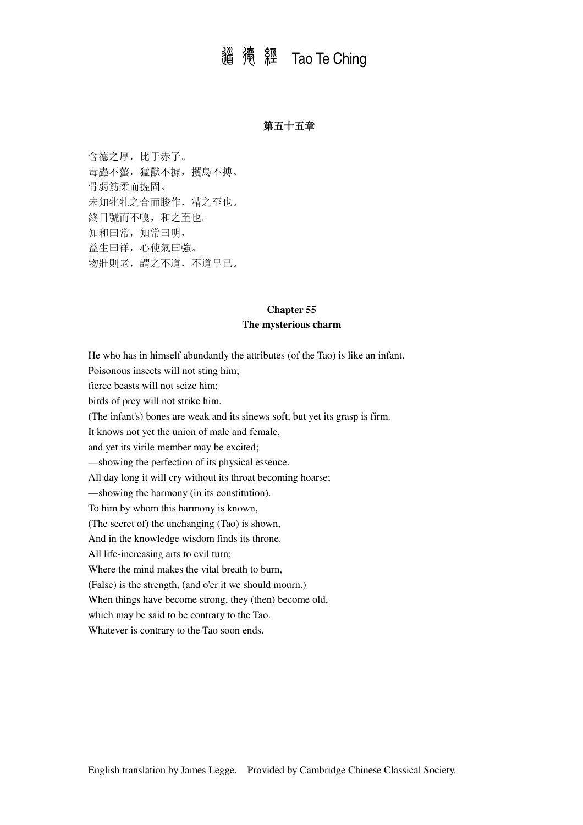#### 第五十五章

含德之厚,比于赤子。 毒蟲不螫,猛獸不據,攫鳥不搏。 骨弱筋柔而握固。 未知牝牡之合而朘作,精之至也。 終日號而不嘎,和之至也。 知和曰常,知常曰明, 益生曰祥,心使氣曰強。 物壯則老,謂之不道,不道早已。

#### **Chapter 55 The mysterious charm**

He who has in himself abundantly the attributes (of the Tao) is like an infant. Poisonous insects will not sting him; fierce beasts will not seize him; birds of prey will not strike him. (The infant's) bones are weak and its sinews soft, but yet its grasp is firm. It knows not yet the union of male and female, and yet its virile member may be excited; —showing the perfection of its physical essence. All day long it will cry without its throat becoming hoarse; —showing the harmony (in its constitution). To him by whom this harmony is known, (The secret of) the unchanging (Tao) is shown, And in the knowledge wisdom finds its throne. All life-increasing arts to evil turn; Where the mind makes the vital breath to burn, (False) is the strength, (and o'er it we should mourn.) When things have become strong, they (then) become old, which may be said to be contrary to the Tao. Whatever is contrary to the Tao soon ends.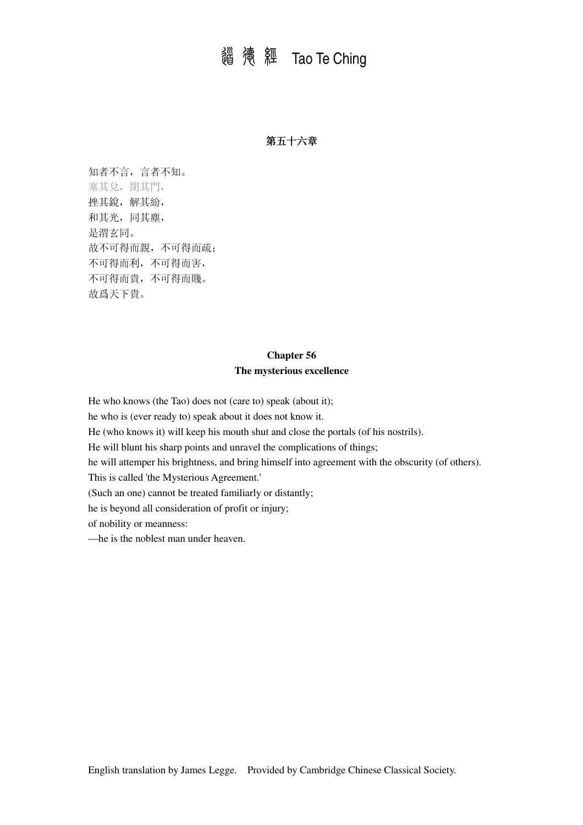第五十六章

知者不言,言者不知。 塞其兌,閉其門, 挫其銳,解其紛, 和其光,同其塵, 是渭玄同。 故不可得而親,不可得而疏; 不可得而利,不可得而害, 不可得而貴,不可得而賤。 故爲天下貴。

### **Chapter 56 The mysterious excellence**

He who knows (the Tao) does not (care to) speak (about it);

he who is (ever ready to) speak about it does not know it.

He (who knows it) will keep his mouth shut and close the portals (of his nostrils).

He will blunt his sharp points and unravel the complications of things;

he will attemper his brightness, and bring himself into agreement with the obscurity (of others).

This is called 'the Mysterious Agreement.'

(Such an one) cannot be treated familiarly or distantly;

he is beyond all consideration of profit or injury;

of nobility or meanness:

—he is the noblest man under heaven.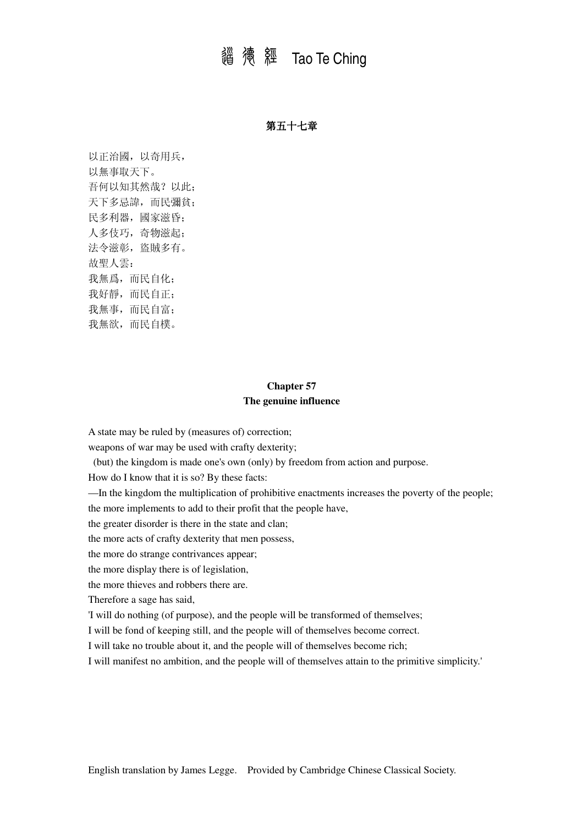```
第五十七章
```
以正治國,以奇用兵, 以無事取天下。 吾何以知其然哉?以此; 天下多忌諱,而民彌貧; 民多利器, 國家滋昏; 人多伎巧,奇物滋起; 法令滋彰, 盜賊多有。 故聖人雲: 我無爲,而民自化; 我好靜,而民自正; 我無事,而民自富; 我無欲,而民自樸。

### **Chapter 57 The genuine influence**

A state may be ruled by (measures of) correction;

weapons of war may be used with crafty dexterity;

(but) the kingdom is made one's own (only) by freedom from action and purpose.

How do I know that it is so? By these facts:

—In the kingdom the multiplication of prohibitive enactments increases the poverty of the people;

the more implements to add to their profit that the people have,

the greater disorder is there in the state and clan;

the more acts of crafty dexterity that men possess,

the more do strange contrivances appear;

the more display there is of legislation,

the more thieves and robbers there are.

Therefore a sage has said,

'I will do nothing (of purpose), and the people will be transformed of themselves;

I will be fond of keeping still, and the people will of themselves become correct.

I will take no trouble about it, and the people will of themselves become rich;

I will manifest no ambition, and the people will of themselves attain to the primitive simplicity.'